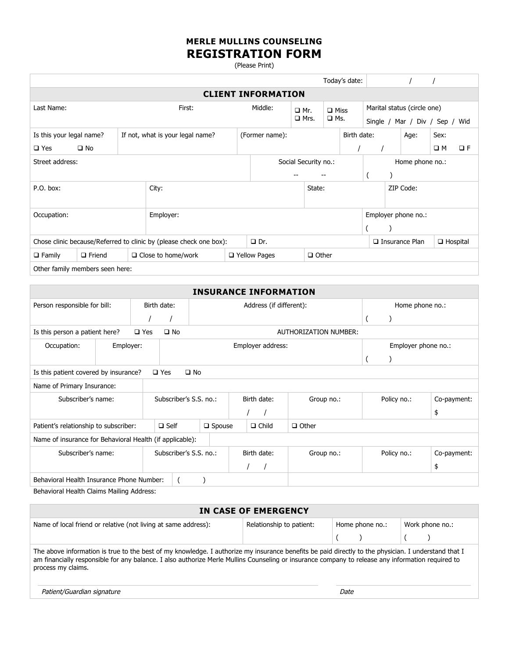## **MERLE MULLINS COUNSELING REGISTRATION FORM**

(Please Print)

|                                                                    |               |  |                           |                                                                      |             |  |                       |                                        | Today's date: |                             |                     |  |             |          |
|--------------------------------------------------------------------|---------------|--|---------------------------|----------------------------------------------------------------------|-------------|--|-----------------------|----------------------------------------|---------------|-----------------------------|---------------------|--|-------------|----------|
| <b>CLIENT INFORMATION</b>                                          |               |  |                           |                                                                      |             |  |                       |                                        |               |                             |                     |  |             |          |
| Last Name:<br>First:                                               |               |  |                           | Middle:<br>$\Box$ Mr.<br>$\Box$ Miss<br>$\Box$ Mrs.<br>$\square$ Ms. |             |  |                       |                                        |               | Marital status (circle one) |                     |  |             |          |
|                                                                    |               |  |                           |                                                                      |             |  |                       | Single $/$<br>Mar / Div / Sep /<br>Wid |               |                             |                     |  |             |          |
| Is this your legal name?<br>If not, what is your legal name?       |               |  |                           | (Former name):                                                       | Birth date: |  |                       |                                        |               | Age:                        | Sex:                |  |             |          |
| $\square$ Yes                                                      | $\square$ No  |  |                           |                                                                      |             |  |                       |                                        |               |                             |                     |  | $\square$ M | $\Box F$ |
| Street address:                                                    |               |  |                           | Social Security no.:                                                 |             |  | Home phone no.:       |                                        |               |                             |                     |  |             |          |
|                                                                    |               |  |                           |                                                                      |             |  |                       |                                        |               |                             |                     |  |             |          |
| P.O. box:                                                          |               |  | City:                     |                                                                      | State:      |  |                       |                                        | ZIP Code:     |                             |                     |  |             |          |
|                                                                    |               |  |                           |                                                                      |             |  |                       |                                        |               |                             |                     |  |             |          |
| Occupation:                                                        |               |  | Employer:                 |                                                                      |             |  |                       |                                        |               |                             | Employer phone no.: |  |             |          |
|                                                                    |               |  |                           |                                                                      |             |  |                       |                                        |               |                             |                     |  |             |          |
| Chose clinic because/Referred to clinic by (please check one box): |               |  | $\Box$ Dr.                |                                                                      |             |  | $\Box$ Insurance Plan |                                        |               | $\Box$ Hospital             |                     |  |             |          |
| $\Box$ Family                                                      | $\Box$ Friend |  | $\Box$ Close to home/work | □ Yellow Pages<br>$\Box$ Other                                       |             |  |                       |                                        |               |                             |                     |  |             |          |
| Other family members seen here:                                    |               |  |                           |                                                                      |             |  |                       |                                        |               |                             |                     |  |             |          |

| <b>INSURANCE INFORMATION</b>                                           |                            |               |                        |                  |  |                         |                       |                     |                 |             |  |
|------------------------------------------------------------------------|----------------------------|---------------|------------------------|------------------|--|-------------------------|-----------------------|---------------------|-----------------|-------------|--|
| Person responsible for bill:                                           |                            |               | Birth date:            |                  |  | Address (if different): |                       |                     | Home phone no.: |             |  |
|                                                                        |                            |               |                        |                  |  |                         |                       |                     |                 |             |  |
| Is this person a patient here?                                         |                            | $\square$ Yes | $\square$ No           |                  |  |                         | AUTHORIZATION NUMBER: |                     |                 |             |  |
| Occupation:                                                            | Employer:                  |               | Employer address:      |                  |  |                         |                       | Employer phone no.: |                 |             |  |
|                                                                        |                            |               |                        |                  |  |                         |                       |                     |                 |             |  |
| $\square$ Yes<br>$\square$ No<br>Is this patient covered by insurance? |                            |               |                        |                  |  |                         |                       |                     |                 |             |  |
|                                                                        | Name of Primary Insurance: |               |                        |                  |  |                         |                       |                     |                 |             |  |
| Subscriber's name:                                                     |                            |               | Subscriber's S.S. no.: |                  |  | Birth date:             | Group no.:            | Policy no.:         |                 | Co-payment: |  |
|                                                                        |                            |               |                        |                  |  |                         |                       |                     |                 | \$          |  |
| Patient's relationship to subscriber:                                  |                            |               | $\Box$ Self            | $\square$ Spouse |  | $\Box$ Child            | $\Box$ Other          |                     |                 |             |  |
| Name of insurance for Behavioral Health (if applicable):               |                            |               |                        |                  |  |                         |                       |                     |                 |             |  |
| Subscriber's name:                                                     |                            |               | Subscriber's S.S. no.: |                  |  | Birth date:             | Group no.:            |                     | Policy no.:     | Co-payment: |  |
|                                                                        |                            |               |                        |                  |  |                         |                       |                     |                 | \$          |  |
| Behavioral Health Insurance Phone Number:                              |                            |               |                        |                  |  |                         |                       |                     |                 |             |  |
| Behavioral Health Claims Mailing Address:                              |                            |               |                        |                  |  |                         |                       |                     |                 |             |  |

| IN CASE OF EMERGENCY                                                                                                                                                                                                                                                                                                           |  |      |  |  |  |  |  |
|--------------------------------------------------------------------------------------------------------------------------------------------------------------------------------------------------------------------------------------------------------------------------------------------------------------------------------|--|------|--|--|--|--|--|
| Name of local friend or relative (not living at same address):<br>Relationship to patient:<br>Work phone no.:<br>Home phone no.:                                                                                                                                                                                               |  |      |  |  |  |  |  |
|                                                                                                                                                                                                                                                                                                                                |  |      |  |  |  |  |  |
| The above information is true to the best of my knowledge. I authorize my insurance benefits be paid directly to the physician. I understand that I<br>am financially responsible for any balance. I also authorize Merle Mullins Counseling or insurance company to release any information required to<br>process my claims. |  |      |  |  |  |  |  |
| Patient/Guardian signature                                                                                                                                                                                                                                                                                                     |  | Date |  |  |  |  |  |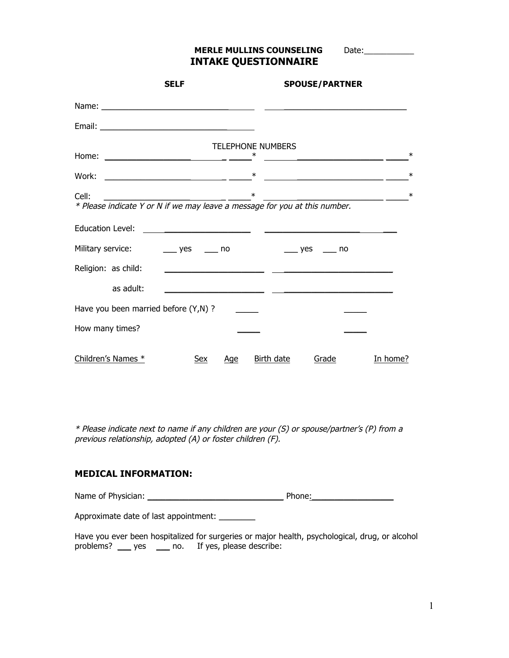**MERLE MULLINS COUNSELING** Date:\_\_\_\_\_\_\_\_\_\_ **INTAKE QUESTIONNAIRE**

|       |                     | <b>SELF</b>                                                                |     |                                    | <b>SPOUSE/PARTNER</b>                 |                         |
|-------|---------------------|----------------------------------------------------------------------------|-----|------------------------------------|---------------------------------------|-------------------------|
|       |                     |                                                                            |     |                                    |                                       |                         |
|       |                     |                                                                            |     |                                    |                                       |                         |
|       |                     |                                                                            |     | <b>TELEPHONE NUMBERS</b>           |                                       |                         |
|       |                     |                                                                            |     |                                    | <u> 1980 - Jan Barbarat, martin a</u> | $\ast$                  |
|       |                     |                                                                            |     |                                    |                                       | $\ast$                  |
| Cell: |                     |                                                                            |     | ∗                                  |                                       | $\ast$<br>$\frac{1}{1}$ |
|       |                     | * Please indicate Y or N if we may leave a message for you at this number. |     |                                    |                                       |                         |
|       |                     |                                                                            |     |                                    |                                       |                         |
|       |                     | Military service: ________ yes ______ no                                   |     | $\frac{1}{2}$ yes $\frac{1}{2}$ no |                                       |                         |
|       | Religion: as child: |                                                                            |     |                                    |                                       |                         |
|       | as adult:           |                                                                            |     |                                    |                                       |                         |
|       |                     | Have you been married before (Y,N) ?                                       |     |                                    |                                       |                         |
|       | How many times?     |                                                                            |     |                                    |                                       |                         |
|       | Children's Names *  | Sex                                                                        | Age | Birth date                         | Grade                                 | In home?                |

\* Please indicate next to name if any children are your (S) or spouse/partner's (P) from a previous relationship, adopted (A) or foster children (F).

#### **MEDICAL INFORMATION:**

Name of Physician: \_\_\_\_\_\_\_\_\_\_\_\_\_\_\_\_\_\_\_\_\_\_\_\_\_\_\_\_\_\_ Phone:\_\_\_\_\_\_\_\_\_\_\_\_\_\_\_\_\_\_

Approximate date of last appointment: \_\_\_\_\_\_\_\_

Have you ever been hospitalized for surgeries or major health, psychological, drug, or alcohol problems? \_\_\_ yes \_\_\_ no. If yes, please describe: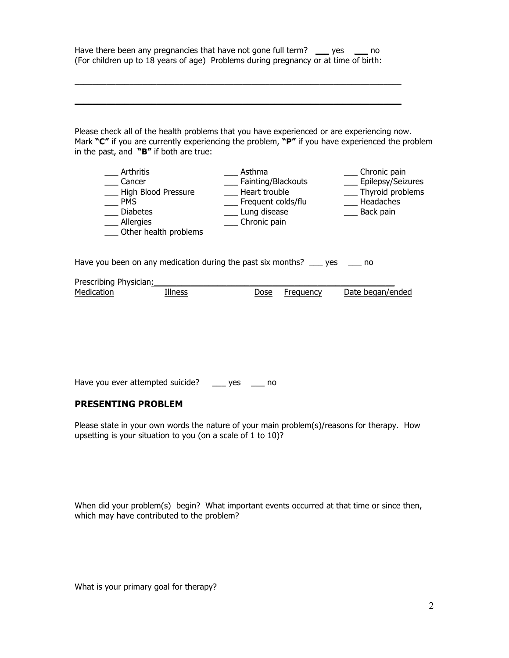Have there been any pregnancies that have not gone full term? yes equivalent (For children up to 18 years of age) Problems during pregnancy or at time of birth:

 $\_$  ,  $\_$  ,  $\_$  ,  $\_$  ,  $\_$  ,  $\_$  ,  $\_$  ,  $\_$  ,  $\_$  ,  $\_$  ,  $\_$  ,  $\_$  ,  $\_$  ,  $\_$  ,  $\_$  ,  $\_$  ,  $\_$  ,  $\_$  ,  $\_$  ,  $\_$ 

 $\_$  ,  $\_$  ,  $\_$  ,  $\_$  ,  $\_$  ,  $\_$  ,  $\_$  ,  $\_$  ,  $\_$  ,  $\_$  ,  $\_$  ,  $\_$  ,  $\_$  ,  $\_$  ,  $\_$  ,  $\_$  ,  $\_$  ,  $\_$  ,  $\_$  ,  $\_$ 

Please check all of the health problems that you have experienced or are experiencing now. Mark **"C"** if you are currently experiencing the problem, **"P"** if you have experienced the problem in the past, and **"B"** if both are true:

| Arthritis<br>Cancer<br>High Blood Pressure<br><b>PMS</b><br><b>Diabetes</b><br>Allergies<br>Other health problems | Asthma<br>Fainting/Blackouts<br>Heart trouble<br>Frequent colds/flu<br>Lung disease<br>Chronic pain | Chronic pain<br>Epilepsy/Seizures<br>Thyroid problems<br>Headaches<br>Back pain |
|-------------------------------------------------------------------------------------------------------------------|-----------------------------------------------------------------------------------------------------|---------------------------------------------------------------------------------|
|                                                                                                                   |                                                                                                     |                                                                                 |

Have you been on any medication during the past six months? \_\_\_ yes \_\_\_ no

Prescribing Physician: Medication Illness Dose Frequency Date began/ended

Have you ever attempted suicide? \_\_\_ yes \_\_\_ no

#### **PRESENTING PROBLEM**

Please state in your own words the nature of your main problem(s)/reasons for therapy. How upsetting is your situation to you (on a scale of 1 to 10)?

When did your problem(s) begin? What important events occurred at that time or since then, which may have contributed to the problem?

What is your primary goal for therapy?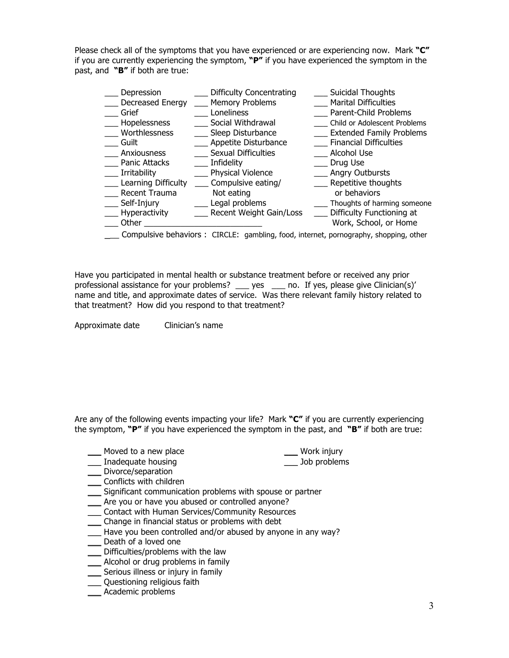Please check all of the symptoms that you have experienced or are experiencing now. Mark **"C"** if you are currently experiencing the symptom, **"P"** if you have experienced the symptom in the past, and **"B"** if both are true:

| Depression<br>Decreased Energy<br>Grief<br>Hopelessness<br>Worthlessness<br>Guilt<br>Anxiousness<br>Panic Attacks<br>Irritability<br>Learning Difficulty<br>Recent Trauma<br>Self-Injury | <b>Difficulty Concentrating</b><br><b>Memory Problems</b><br>Loneliness<br>Social Withdrawal<br>Sleep Disturbance<br>Appetite Disturbance<br>Sexual Difficulties<br>Infidelity<br><b>Physical Violence</b><br>Compulsive eating/<br>Not eating<br>Legal problems | <b>Suicidal Thoughts</b><br><b>Marital Difficulties</b><br>Parent-Child Problems<br>Child or Adolescent Problems<br><b>Extended Family Problems</b><br><b>Financial Difficulties</b><br>Alcohol Use<br>Drug Use<br>Angry Outbursts<br>Repetitive thoughts<br>or behaviors<br>Thoughts of harming someone |  |  |  |  |  |
|------------------------------------------------------------------------------------------------------------------------------------------------------------------------------------------|------------------------------------------------------------------------------------------------------------------------------------------------------------------------------------------------------------------------------------------------------------------|----------------------------------------------------------------------------------------------------------------------------------------------------------------------------------------------------------------------------------------------------------------------------------------------------------|--|--|--|--|--|
| Hyperactivity                                                                                                                                                                            | Recent Weight Gain/Loss                                                                                                                                                                                                                                          | Difficulty Functioning at                                                                                                                                                                                                                                                                                |  |  |  |  |  |
| Other                                                                                                                                                                                    |                                                                                                                                                                                                                                                                  | Work, School, or Home                                                                                                                                                                                                                                                                                    |  |  |  |  |  |
| Compulsive behaviors : CIRCLE: gambling, food, internet, pornography, shopping, other                                                                                                    |                                                                                                                                                                                                                                                                  |                                                                                                                                                                                                                                                                                                          |  |  |  |  |  |

Have you participated in mental health or substance treatment before or received any prior professional assistance for your problems? \_\_\_ yes \_\_\_ no. If yes, please give Clinician(s)' name and title, and approximate dates of service. Was there relevant family history related to that treatment? How did you respond to that treatment?

Approximate date Clinician's name

Are any of the following events impacting your life? Mark **"C"** if you are currently experiencing the symptom, **"P"** if you have experienced the symptom in the past, and **"B"** if both are true:

| Moved to a new place | Work injury |
|----------------------|-------------|
|                      |             |

- \_\_\_ Inadequate housing \_\_\_ Job problems \_\_\_ Divorce/separation
- \_\_\_ Conflicts with children
- \_\_\_ Significant communication problems with spouse or partner
- Are you or have you abused or controlled anyone?
- \_\_\_ Contact with Human Services/Community Resources
- \_\_\_ Change in financial status or problems with debt
- Have you been controlled and/or abused by anyone in any way?
- \_\_\_ Death of a loved one
- \_\_\_ Difficulties/problems with the law
- \_\_\_ Alcohol or drug problems in family
- \_\_\_ Serious illness or injury in family
- \_\_\_ Questioning religious faith
- \_\_\_ Academic problems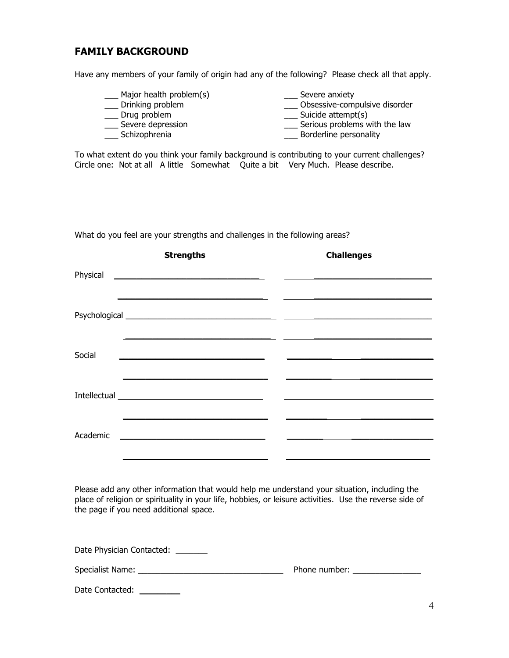### **FAMILY BACKGROUND**

Have any members of your family of origin had any of the following? Please check all that apply.

\_\_\_ Major health problem(s) \_\_\_ Severe anxiety \_\_\_ Obsessive-compulsive disorder \_\_\_ Drug problem \_\_\_\_ \_\_\_\_ \_\_\_\_\_ Suicide attempt(s) \_\_\_\_ Severe depression \_\_\_\_ Serious problems w \_\_\_ Serious problems with the law \_\_\_ Schizophrenia \_\_\_ Borderline personality

To what extent do you think your family background is contributing to your current challenges? Circle one: Not at all A little Somewhat Quite a bit Very Much. Please describe.

What do you feel are your strengths and challenges in the following areas?

|          | <b>Strengths</b> |  | <b>Challenges</b> |  |
|----------|------------------|--|-------------------|--|
|          |                  |  |                   |  |
|          |                  |  |                   |  |
| Social   |                  |  |                   |  |
|          |                  |  |                   |  |
| Academic |                  |  |                   |  |

Please add any other information that would help me understand your situation, including the place of religion or spirituality in your life, hobbies, or leisure activities. Use the reverse side of the page if you need additional space.

Date Physician Contacted:

| <b>Specialist Name:</b> | Phone number: |
|-------------------------|---------------|
|-------------------------|---------------|

Date Contacted: \_\_\_\_\_\_\_\_\_